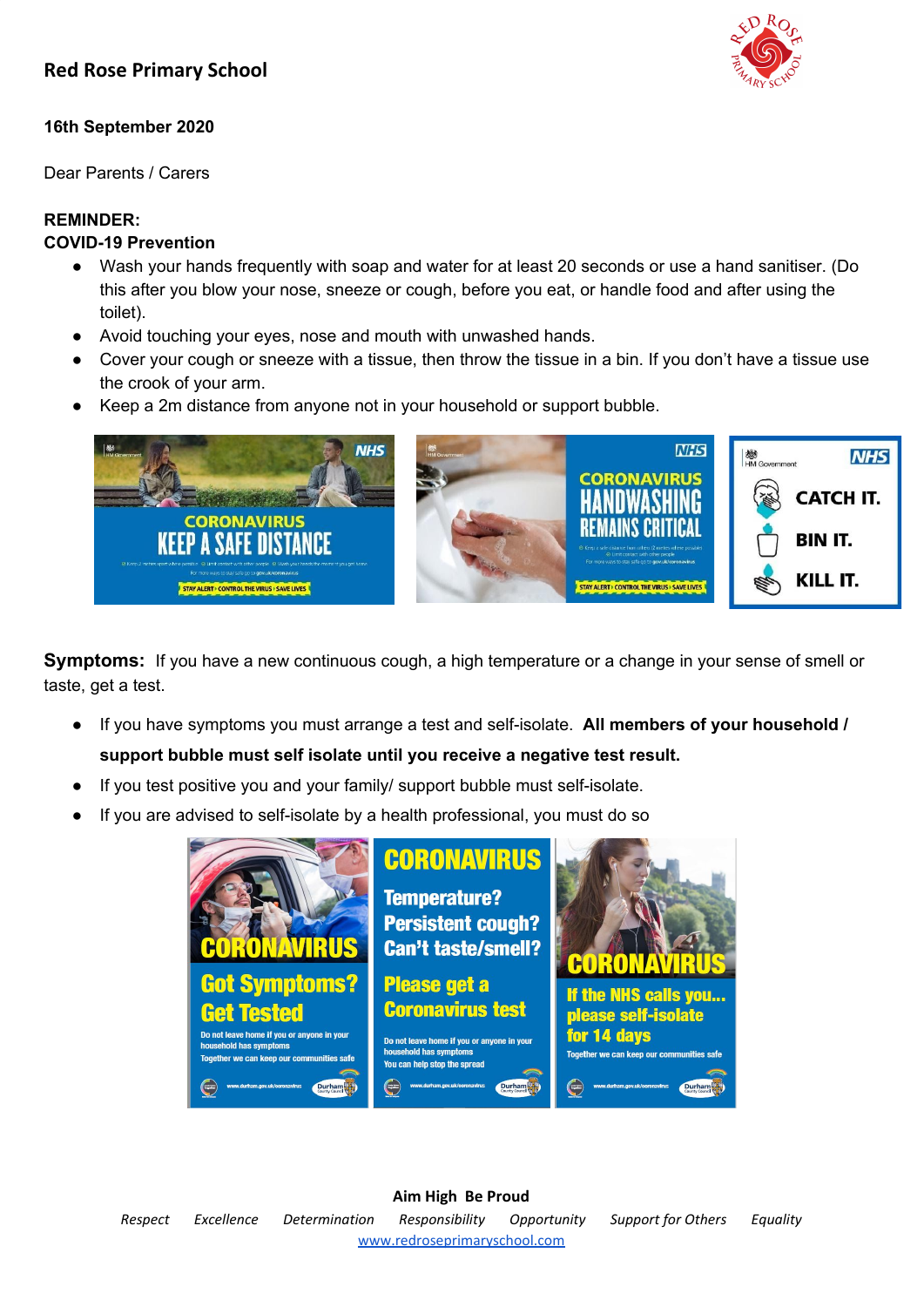# **16th September 2020**

Dear Parents / Carers

# **REMINDER:**

# **COVID-19 Prevention**

- Wash your hands frequently with soap and water for at least 20 seconds or use a hand sanitiser. (Do this after you blow your nose, sneeze or cough, before you eat, or handle food and after using the toilet).
- Avoid touching your eyes, nose and mouth with unwashed hands.
- Cover your cough or sneeze with a tissue, then throw the tissue in a bin. If you don't have a tissue use the crook of your arm.
- **●** Keep a 2m distance from anyone not in your household or support bubble.



**Symptoms:** If you have a new continuous cough, a high temperature or a change in your sense of smell or taste, get a test.

- If you have symptoms you must arrange a test and self-isolate. **All members of your household / support bubble must self isolate until you receive a negative test result.**
- If you test positive you and your family/ support bubble must self-isolate.
- If you are advised to self-isolate by a health professional, you must do so